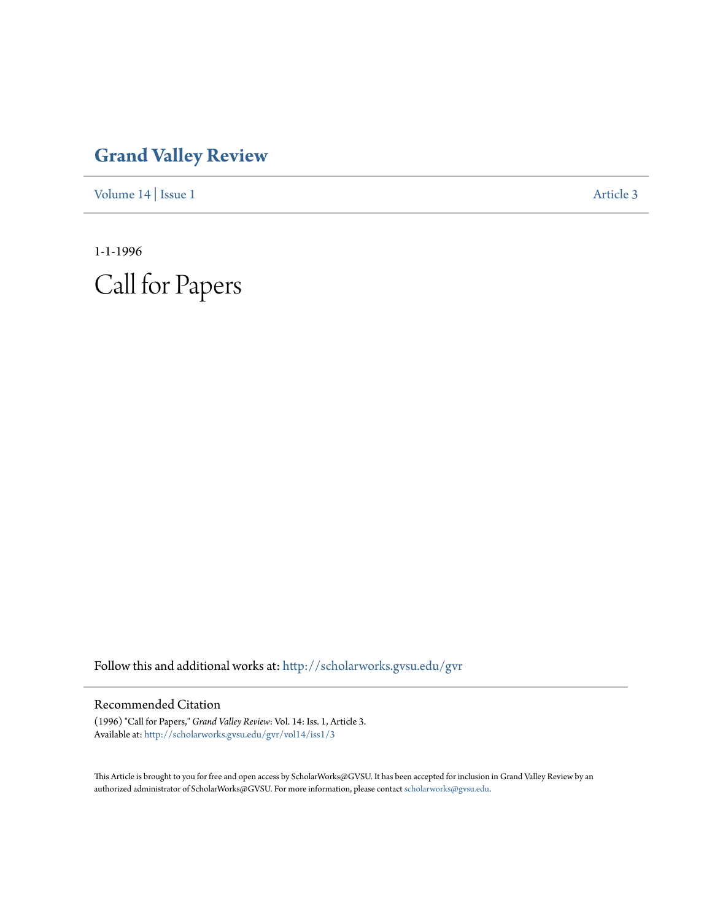## **[Grand Valley Review](http://scholarworks.gvsu.edu/gvr?utm_source=scholarworks.gvsu.edu%2Fgvr%2Fvol14%2Fiss1%2F3&utm_medium=PDF&utm_campaign=PDFCoverPages)**

[Volume 14](http://scholarworks.gvsu.edu/gvr/vol14?utm_source=scholarworks.gvsu.edu%2Fgvr%2Fvol14%2Fiss1%2F3&utm_medium=PDF&utm_campaign=PDFCoverPages) | [Issue 1](http://scholarworks.gvsu.edu/gvr/vol14/iss1?utm_source=scholarworks.gvsu.edu%2Fgvr%2Fvol14%2Fiss1%2F3&utm_medium=PDF&utm_campaign=PDFCoverPages) [Article 3](http://scholarworks.gvsu.edu/gvr/vol14/iss1/3?utm_source=scholarworks.gvsu.edu%2Fgvr%2Fvol14%2Fiss1%2F3&utm_medium=PDF&utm_campaign=PDFCoverPages)

1-1-1996 Call for Papers

Follow this and additional works at: [http://scholarworks.gvsu.edu/gvr](http://scholarworks.gvsu.edu/gvr?utm_source=scholarworks.gvsu.edu%2Fgvr%2Fvol14%2Fiss1%2F3&utm_medium=PDF&utm_campaign=PDFCoverPages)

## Recommended Citation

(1996) "Call for Papers," *Grand Valley Review*: Vol. 14: Iss. 1, Article 3. Available at: [http://scholarworks.gvsu.edu/gvr/vol14/iss1/3](http://scholarworks.gvsu.edu/gvr/vol14/iss1/3?utm_source=scholarworks.gvsu.edu%2Fgvr%2Fvol14%2Fiss1%2F3&utm_medium=PDF&utm_campaign=PDFCoverPages)

This Article is brought to you for free and open access by ScholarWorks@GVSU. It has been accepted for inclusion in Grand Valley Review by an authorized administrator of ScholarWorks@GVSU. For more information, please contact [scholarworks@gvsu.edu.](mailto:scholarworks@gvsu.edu)